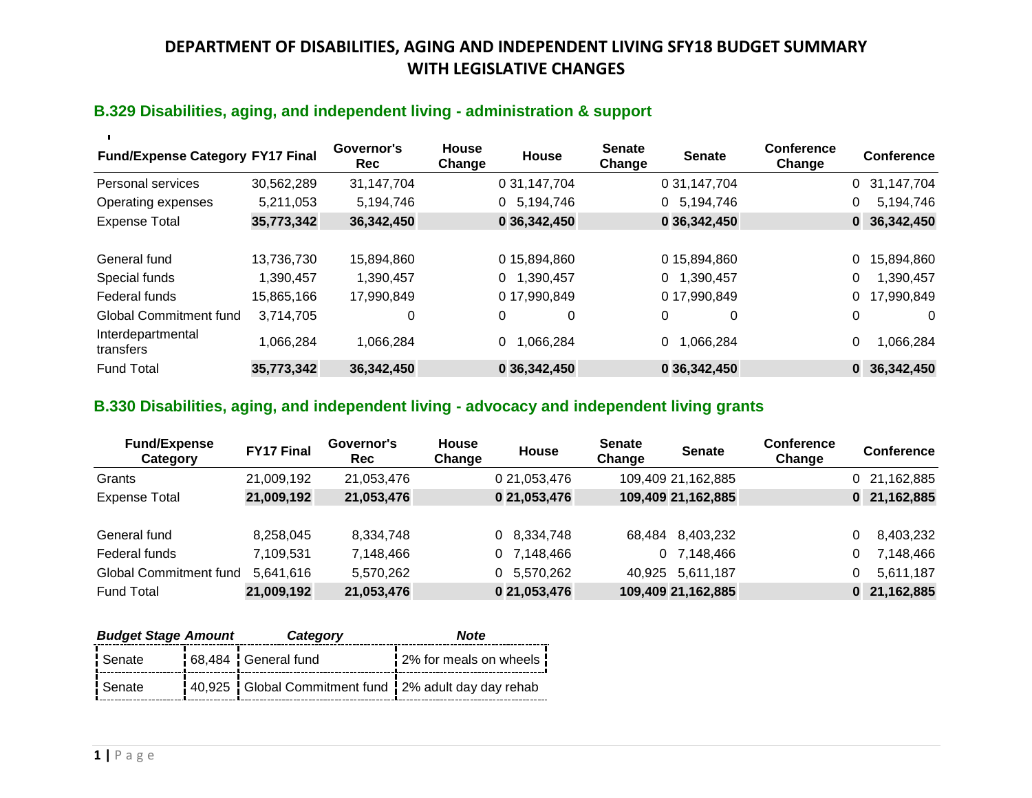## **B.329 Disabilities, aging, and independent living - administration & support**

| <b>Fund/Expense Category FY17 Final</b> |                         | Governor's<br>Rec       | <b>House</b><br>Change | House                         | <b>Senate</b><br>Change | <b>Senate</b>                 | Conference<br>Change | <b>Conference</b>                 |
|-----------------------------------------|-------------------------|-------------------------|------------------------|-------------------------------|-------------------------|-------------------------------|----------------------|-----------------------------------|
| Personal services                       | 30,562,289              | 31,147,704              |                        | 0 31,147,704                  |                         | 0 31, 147, 704                |                      | 31,147,704<br>0                   |
| Operating expenses                      | 5,211,053               | 5,194,746               |                        | 5,194,746<br>0                |                         | 5,194,746<br>0                |                      | 5,194,746<br>0                    |
| <b>Expense Total</b>                    | 35,773,342              | 36,342,450              |                        | 0 36,342,450                  |                         | 0 36,342,450                  |                      | 36,342,450<br>$\mathbf{0}$        |
| General fund<br>Special funds           | 13,736,730<br>1,390,457 | 15,894,860<br>1,390,457 |                        | 015,894,860<br>1,390,457<br>0 |                         | 015,894,860<br>1,390,457<br>0 |                      | 15,894,860<br>0<br>1,390,457<br>0 |
| Federal funds                           | 15,865,166              | 17,990,849              |                        | 0 17,990,849                  |                         | 0 17,990,849                  |                      | 17,990,849                        |
| <b>Global Commitment fund</b>           | 3,714,705               | 0                       |                        | 0<br>0                        |                         | 0<br>0                        |                      | 0<br>$\Omega$                     |
| Interdepartmental<br>transfers          | 1,066,284               | 1,066,284               |                        | 1,066,284<br>0                |                         | ,066,284<br>0                 |                      | 1,066,284<br>0                    |
| <b>Fund Total</b>                       | 35,773,342              | 36,342,450              |                        | 0 36,342,450                  |                         | 0 36,342,450                  |                      | 36,342,450<br>0                   |

## **B.330 Disabilities, aging, and independent living - advocacy and independent living grants**

| <b>Fund/Expense</b><br>Category | <b>FY17 Final</b> | Governor's<br>Rec | <b>House</b><br>Change | <b>House</b> | <b>Senate</b><br>Change | <b>Senate</b>      | <b>Conference</b><br>Change | <b>Conference</b> |
|---------------------------------|-------------------|-------------------|------------------------|--------------|-------------------------|--------------------|-----------------------------|-------------------|
| Grants                          | 21,009,192        | 21,053,476        |                        | 0 21,053,476 |                         | 109,409 21,162,885 |                             | 21,162,885<br>0   |
| <b>Expense Total</b>            | 21,009,192        | 21,053,476        |                        | 0 21,053,476 |                         | 109,409 21,162,885 |                             | 21,162,885<br>0   |
|                                 |                   |                   |                        |              |                         |                    |                             |                   |
| General fund                    | 8,258,045         | 8,334,748         |                        | 0 8,334,748  | 68.484                  | 8,403,232          |                             | 8,403,232         |
| Federal funds                   | 7,109,531         | 7,148,466         |                        | 0 7,148,466  | 0                       | 7,148,466          |                             | 7,148,466         |
| <b>Global Commitment fund</b>   | 5,641,616         | 5,570,262         |                        | 0 5,570,262  |                         | 40,925 5,611,187   |                             | 5,611,187         |
| <b>Fund Total</b>               | 21,009,192        | 21,053,476        |                        | 0 21,053,476 |                         | 109,409 21,162,885 |                             | 21,162,885<br>0   |

| <b>Budget Stage Amount</b> |  | Category                                              | <b>Note</b>              |  |
|----------------------------|--|-------------------------------------------------------|--------------------------|--|
| Senate:                    |  | 68,484 General fund                                   | 2% for meals on wheels ! |  |
| Senate                     |  | 40,925 Global Commitment fund 12% adult day day rehab |                          |  |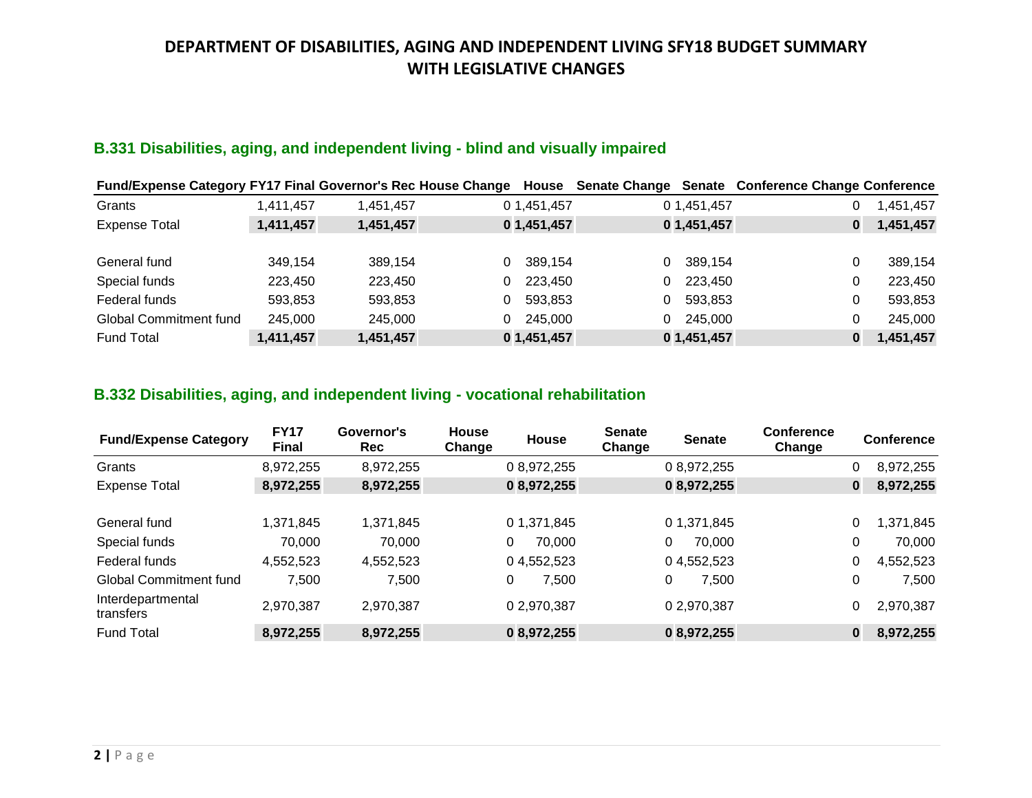## **B.331 Disabilities, aging, and independent living - blind and visually impaired**

| <b>Fund/Expense Category FY17 Final Governor's Rec House Change</b> |           |           | House        |                         | Senate Change Senate Conference Change Conference |
|---------------------------------------------------------------------|-----------|-----------|--------------|-------------------------|---------------------------------------------------|
| Grants                                                              | 1.411.457 | 1.451.457 | 0 1,451,457  | 0 1,451,457             | 1,451,457                                         |
| <b>Expense Total</b>                                                | 1,411,457 | 1,451,457 | 0 1,451,457  | 0 1,451,457             | 1,451,457<br>0                                    |
|                                                                     |           |           |              |                         |                                                   |
| General fund                                                        | 349.154   | 389,154   | 389.154<br>0 | 389.154<br>$\Omega$     | 389,154<br>0                                      |
| Special funds                                                       | 223,450   | 223,450   | 223,450<br>0 | 223,450<br>$\mathbf{0}$ | 223,450<br>0                                      |
| Federal funds                                                       | 593,853   | 593,853   | 593,853<br>0 | 593,853<br>0            | 593,853<br>0                                      |
| <b>Global Commitment fund</b>                                       | 245,000   | 245,000   | 245.000<br>0 | 245,000<br>0            | 245,000<br>0                                      |
| <b>Fund Total</b>                                                   | 1,411,457 | 1,451,457 | 0 1,451,457  | 0 1,451,457             | 1,451,457<br>0                                    |

### **B.332 Disabilities, aging, and independent living - vocational rehabilitation**

| <b>Fund/Expense Category</b>   | <b>FY17</b><br><b>Final</b> | Governor's<br>Rec | <b>House</b><br>Change | <b>House</b> | <b>Senate</b><br>Change | <b>Senate</b> | Conference<br>Change |   | <b>Conference</b> |
|--------------------------------|-----------------------------|-------------------|------------------------|--------------|-------------------------|---------------|----------------------|---|-------------------|
| Grants                         | 8,972,255                   | 8,972,255         |                        | 0 8,972,255  |                         | 0 8,972,255   |                      | 0 | 8,972,255         |
| <b>Expense Total</b>           | 8,972,255                   | 8,972,255         |                        | 08,972,255   |                         | 08,972,255    |                      | 0 | 8,972,255         |
| General fund                   | 1,371,845                   | 1,371,845         |                        | 0 1,371,845  |                         | 0 1,371,845   |                      | 0 | 1,371,845         |
| Special funds                  | 70,000                      | 70,000            | 0                      | 70,000       |                         | 70,000<br>0   |                      | 0 | 70,000            |
| Federal funds                  | 4,552,523                   | 4,552,523         |                        | 04,552,523   |                         | 04,552,523    |                      | 0 | 4,552,523         |
| <b>Global Commitment fund</b>  | 7,500                       | 7,500             | 0                      | 7,500        |                         | 7,500<br>0    |                      | 0 | 7,500             |
| Interdepartmental<br>transfers | 2,970,387                   | 2,970,387         |                        | 0 2,970,387  |                         | 0 2,970,387   |                      |   | 2,970,387         |
| <b>Fund Total</b>              | 8,972,255                   | 8,972,255         |                        | 08,972,255   |                         | 0 8,972,255   |                      | 0 | 8,972,255         |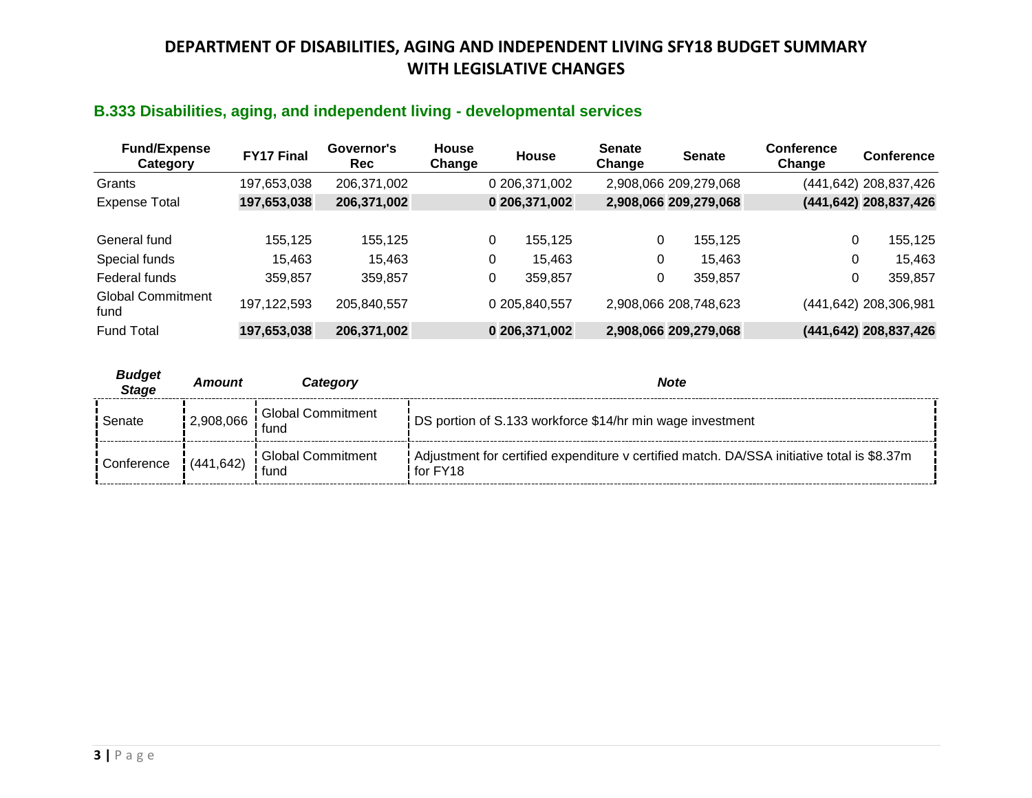### **B.333 Disabilities, aging, and independent living - developmental services**

| <b>Fund/Expense</b><br>Category  | <b>FY17 Final</b> | Governor's<br>Rec | House<br>Change | House         | <b>Senate</b><br>Change | <b>Senate</b>         | <b>Conference</b><br>Change | <b>Conference</b>     |
|----------------------------------|-------------------|-------------------|-----------------|---------------|-------------------------|-----------------------|-----------------------------|-----------------------|
| Grants                           | 197,653,038       | 206,371,002       |                 | 0 206,371,002 |                         | 2,908,066 209,279,068 |                             | (441,642) 208,837,426 |
| <b>Expense Total</b>             | 197,653,038       | 206,371,002       |                 | 0 206,371,002 |                         | 2,908,066 209,279,068 |                             | (441,642) 208,837,426 |
| General fund                     | 155,125           | 155,125           |                 | 0<br>155,125  | 0                       | 155,125               | 0                           | 155,125               |
| Special funds                    | 15,463            | 15,463            |                 | 0<br>15.463   | 0                       | 15,463                | 0                           | 15,463                |
| Federal funds                    | 359.857           | 359,857           |                 | 0<br>359,857  | 0                       | 359,857               | 0                           | 359,857               |
| <b>Global Commitment</b><br>fund | 197, 122, 593     | 205,840,557       |                 | 0 205,840,557 |                         | 2,908,066 208,748,623 |                             | (441,642) 208,306,981 |
| <b>Fund Total</b>                | 197,653,038       | 206,371,002       |                 | 0 206,371,002 |                         | 2,908,066 209,279,068 |                             | (441,642) 208,837,426 |

| <b>Budget</b><br><b>Stage</b> | Amount | Categorv                                | <b>Note</b>                                                                                                  |  |
|-------------------------------|--------|-----------------------------------------|--------------------------------------------------------------------------------------------------------------|--|
| Senate                        |        | 2,908,066   Global Commitment<br>: fund | DS portion of S.133 workforce \$14/hr min wage investment                                                    |  |
|                               |        | Conference (441,642) Global Commitment  | Adjustment for certified expenditure v certified match. DA/SSA initiative total is \$8.37m<br>$!$ for $FY18$ |  |